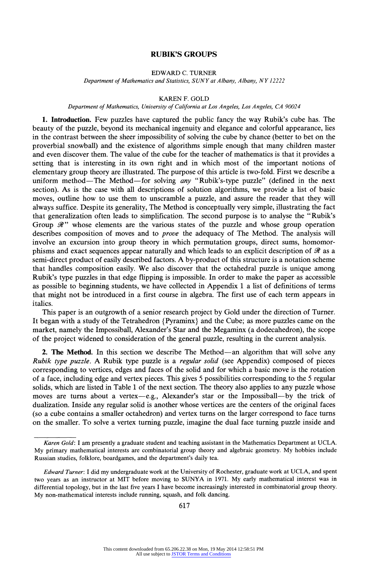### RUBIK'S GROUPS

#### EDWARD C. TURNER

Department of Mathematics and Statistics, SUNY at Albany, Albany, NY 12222

### KAREN F. GOLD

Department of Mathematics, University of California at Los Angeles, Los Angeles, CA 90024

1. Introduction. Few puzzles have captured the public fancy the way Rubik's cube has. The beauty of the puzzle, beyond its mechanical ingenuity and elegance and colorful appearance, lies in the contrast between the sheer impossibility of solving the cube by chance (better to bet on the proverbial snowball) and the existence of algorithms simple enough that many children master and even discover them. The value of the cube for the teacher of mathematics is that it provides a setting that is interesting in its own right and in which most of the important notions of elementary group theory are illustrated. The purpose of this article is two-fold. First we describe a uniform method—The Method—for solving any "Rubik's-type puzzle" (defined in the next section). As is the case with all descriptions of solution algorithms, we provide a list of basic moves, outline how to use them to unscramble apuzzle, and assure the reader that they will always suffice. Despite its generality, The Method is conceptually very simple, illustrating the fact that generalization often leads to simplification. The second purpose is to analyse the "Rubik's Group  $\mathcal{R}$ " whose elements are the various states of the puzzle and whose group operation describes composition of moves and to prove the adequacy of The Method. The analysis will involve an excursion into group theory in which permutation groups, direct sums, homomorphisms and exact sequences appear naturally and which leads to an explicit description of  $\mathcal{R}$  as a semi-direct product of easily described factors. A by-product of this structure is a notation scheme that handles composition easily. We also discover that the octahedral puzzle is unique among Rubik's type puzzles in that edge flipping is impossible. In order to make the paper as accessible as possible to beginning students, we have collected in Appendix 1 a list of definitions of terms that might not be introduced in a first course in algebra. The first use of each term appears in italics.

This paper is an outgrowth of a senior research project by Gold under the direction of Turner. It began with a study of the Tetrahedron {Pyraminx} and the Cube; as more puzzles came on the market, namely the Impossiball, Alexander's Star and the Megaminx (a dodecahedron), the scope of the project widened to consideration of the general puzzle, resulting in the current analysis.

2. The Method. In this section we describe The Method—an algorithm that will solve any Rubik type puzzle. A Rubik type puzzle is a regular solid (see Appendix) composed of pieces corresponding to vertices, edges and faces of the solid and for which a basic move is the rotation of a face, including edge and vertex pieces. This gives 5 possibilities corresponding tothe 5 regular solids, which are listed in Table 1 of the next section. The theory also applies to any puzzle whose moves are turns about a vertex-e.g., Alexander's star or the Impossiball--by the trick of dualization. Inside any regular solid is another whose vertices are the centers of the original faces (so a cube contains a smaller octahedron) and vertex turns on the larger correspond to face turns on the smaller. To solve a vertex turning puzzle, imagine the dual face turning puzzle inside and

Karen Gold: I am presently a graduate student and teaching assistant in the Mathematics Department at UCLA. My primary mathematical interests are combinatorial group theory and algebraic geometry. My hobbies include Russian studies, folklore, boardgames, and the department's daily tea.

Edward Turner: I did my undergraduate work at the University of Rochester, graduate work at UCLA, and spent two years as an instructor at MIT before moving to SUNYA in 1971. My early mathematical interest was in differential topology, but in the last five years I have become increasingly interested in combinatorial group theory. My non-mathematical interests include running, squash, and folk dancing.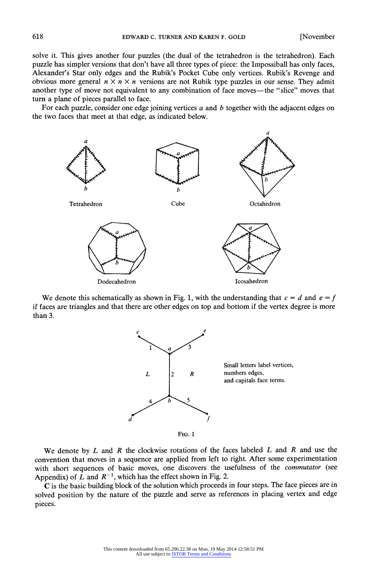solve it. This gives another four puzzles (the dual of the tetrahedron is the tetrahedron). Each puzzle has simpler versions that don't have all three types of piece: the Impossiball has only faces, Alexander's Star only edges and the Rubik's Pocket Cube only vertices. Rubik's Revenge and obvious more general  $n \times n \times n$  versions are not Rubik type puzzles in our sense. They admit another type of move not equivalent to any combination of face moves—the "slice" moves that turn a plane of pieces parallel to face.

For each puzzle, consider one edge joining vertices  $a$  and  $b$  together with the adjacent edges on the two faces that meet at that edge, as indicated below.



We denote this schematically as shown in Fig. 1, with the understanding that  $c = d$  and  $e = f$ if faces are triangles and that there are other edges on top and bottom if the vertex degree is more than 3.



FIG. 1

We denote by  $L$  and  $R$  the clockwise rotations of the faces labeled  $L$  and  $R$  and use the convention that moves in a sequence are applied from left to right. After some experimentation with short sequences of basic moves, one discovers the usefulness of the commutator (see Appendix) of  $\overline{L}$  and  $\overline{R}^{-1}$ , which has the effect shown in Fig. 2.

C is the basic building block of the solution which proceeds in four steps. The face pieces are in solved position by the nature of the puzzle and serve as references in placing vertex and edge pieces.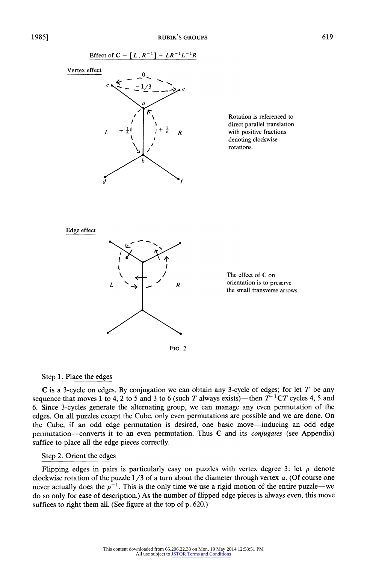

# Step 1. Place the edges

C is a 3-cycle on edges. By conjugation we can obtain any 3-cycle of edges; for let  $T$  be any sequence that moves 1 to 4, 2 to 5 and 3 to 6 (such T always exists)—then  $T^{-1}CT$  cycles 4, 5 and 6. Since 3-cycles generate the alternating group, we can manage any even permutation of the edges. On all puzzles except the Cube, only even permutations are possible and we are done. On the Cube, if an odd edge permutation is desired, one basic move-inducing an odd edge permutation-converts it to an even permutation. Thus C and its conjugates (see Appendix) suffice to place all the edge pieces correctly.

#### Step 2. Orient the edges

Flipping edges in pairs is particularly easy on puzzles with vertex degree 3: let  $\rho$  denote clockwise rotation of the puzzle  $1/3$  of a turn about the diameter through vertex  $a$ . (Of course one never actually does the  $\rho^{-1}$ . This is the only time we use a rigid motion of the entire puzzle—we do so only for ease of description.) As the number of flipped edge pieces is always even, this move suffices to right them all. (See figure at the top of p. 620.)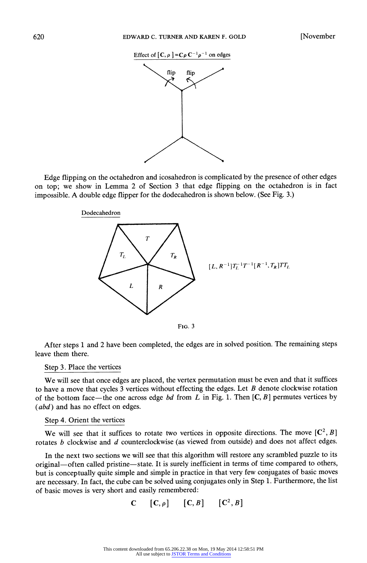

Edge flipping on the octahedron and icosahedron is complicated by the presence of other edges on top; we show in Lemma 2 of Section 3 that edge flipping on the octahedron is in fact impossible. A double edge flipper for the dodecahedron is shown below. (See Fig. 3.)



FIG. 3

After steps 1 and 2 have been completed, the edges are in solved position. The remaining steps leave them there.

# Step 3. Place the vertices

We will see that once edges are placed, the vertex permutation must be even and that it suffices to have a move that cycles 3 vertices without effecting the edges. Let  $B$  denote clockwise rotation of the bottom face—the one across edge bd from  $L$  in Fig. 1. Then  $[C, B]$  permutes vertices by (*abd*) and has no effect on edges.

#### Step 4. Orient the vertices

We will see that it suffices to rotate two vertices in opposite directions. The move  $[C^2, B]$ rotates  $b$  clockwise and  $d$  counterclockwise (as viewed from outside) and does not affect edges.

In the next two sections we will see that this algorithm will restore any scrambled puzzle to its original-often called pristine-state. It is surely inefficient interms of time compared to others, but is conceptually quite simple and simple in practice in that very few conjugates of basic moves are necessary. In fact, the cube can be solved using conjugates only in Step 1. Furthermore, the list of basic moves is very short and easily remembered:

**C**  $[C, \rho]$   $[C, B]$   $[C^2, B]$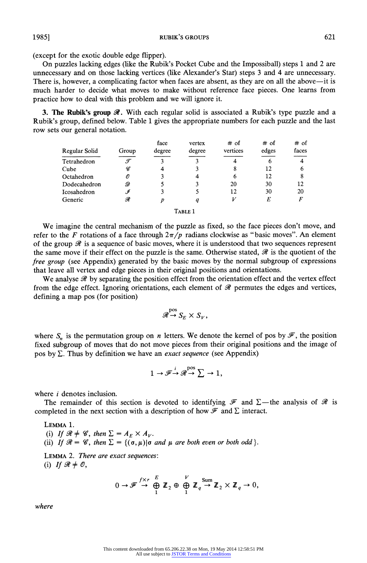1985] RUBIK'S GROUPS 621

(except for the exotic double edge flipper).

On puzzles lacking edges (like the Rubik's Pocket Cube and the Impossiball) steps 1 and 2 are unnecessary and on those lacking vertices (like Alexander's Star) steps 3 and 4 are unnecessary. There is, however, a complicating factor when faces are absent, as they are on all the above—it is much harder to decide what moves to make without reference face pieces. One learns from practice how to deal with this problem and we will ignore it.

3. The Rubik's group  $\mathcal{R}$ . With each regular solid is associated a Rubik's type puzzle and a Rubik's group, defined below. Table 1 gives the appropriate numbers for each puzzle and the last row sets our general notation.

| Regular Solid | Group | face<br>degree | vertex<br>degree | # of<br>vertices | # of<br>edges | $#$ of<br>faces |
|---------------|-------|----------------|------------------|------------------|---------------|-----------------|
| Tetrahedron   | T     |                |                  |                  | 6             |                 |
| Cube          | C     |                |                  |                  | 12            | 6               |
| Octahedron    | O     |                | 4                | 6                | 12            | 8               |
| Dodecahedron  | D)    |                |                  | 20               | 30            | 12              |
| Icosahedron   | ىق    |                |                  | 12               | 30            | 20              |
| Generic       | Я     |                |                  |                  | E             | F               |
|               |       |                | TABLE 1          |                  |               |                 |

We imagine the central mechanism of the puzzle as fixed, so the face pieces don't move, and refer to the F rotations of a face through  $2\pi/p$  radians clockwise as "basic moves". An element of the group  $\mathscr R$  is a sequence of basic moves, where it is understood that two sequences represent the same move if their effect on the puzzle is the same. Otherwise stated,  $\mathscr R$  is the quotient of the free group (see Appendix) generated by the basic moves by the normal subgroup of expressions that leave all vertex and edge pieces in their original positions and orientations.

We analyse  $\mathscr R$  by separating the position effect from the orientation effect and the vertex effect from the edge effect. Ignoring orientations, each element of  $\mathcal{R}$  permutes the edges and vertices, defining amap pos (for position)

$$
\mathscr{R}^{\text{pos}} \to S_E \times S_V,
$$

where  $S_n$  is the permutation group on *n* letters. We denote the kernel of pos by  $\mathcal{F}$ , the position fixed subgroup of moves that do not move pieces from their original positions and the image of pos by  $\Sigma$ . Thus by definition we have an *exact sequence* (see Appendix)

$$
1 \to \mathcal{F} \xrightarrow{i} \mathcal{R} \xrightarrow{\text{pos}} \sum \to 1,
$$

where *i* denotes inclusion.

The remainder of this section is devoted to identifying  $\mathscr F$  and  $\Sigma$ —the analysis of  $\mathscr R$  is completed in the next section with a description of how  $\mathcal F$  and  $\Sigma$  interact.

LEMMA 1.

(i) If  $\mathcal{R} \neq \mathcal{C}$ , then  $\Sigma = A_E \times A_V$ .

(ii) If  $\mathcal{R} = \mathcal{C}$ , then  $\Sigma = \{(\sigma, \mu) | \sigma \text{ and } \mu \text{ are both even or both odd}\}.$ 

LEMMA 2. There are exact sequences: (i) If  $\mathcal{R} \neq \mathcal{O}$ ,

$$
0 \to \mathscr{F} \stackrel{f \times r}{\to} \bigoplus_{1}^{E} \mathbb{Z}_2 \oplus \bigoplus_{1}^{V} \mathbb{Z}_q \stackrel{\text{Sum}}{\to} \mathbb{Z}_2 \times \mathbb{Z}_q \to 0,
$$

where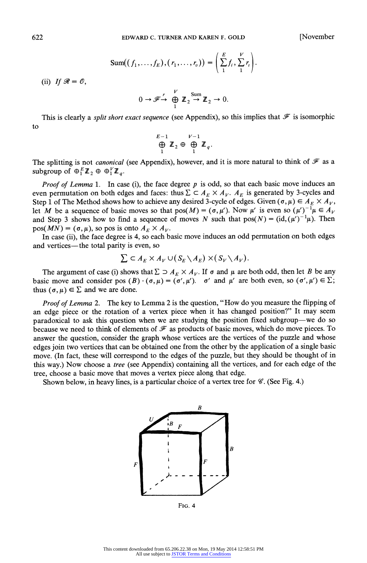Sum
$$
((f_1, ..., f_E), (r_1, ..., r_v)) = \left(\sum_{1}^{E} f_i, \sum_{1}^{V} r_i\right).
$$

(ii) If  $\mathcal{R} = \mathcal{O}$ ,

$$
0 \to \mathscr{F} \xrightarrow{r} \bigoplus_{1}^{V} \mathbb{Z}_2 \xrightarrow{\text{Sum}} \mathbb{Z}_2 \to 0.
$$

This is clearly a *split short exact sequence* (see Appendix), so this implies that  $\mathscr F$  is isomorphic to

$$
\bigoplus_{1}^{E-1} \mathbb{Z}_2 \oplus \bigoplus_{1}^{V-1} \mathbb{Z}_q.
$$

The splitting is not *canonical* (see Appendix), however, and it is more natural to think of  $\mathcal F$  as a subgroup of  $\oplus_1^E \mathbb{Z}_2 \oplus \oplus_1^V \mathbb{Z}_q$ .

*Proof of Lemma* 1. In case (i), the face degree  $p$  is odd, so that each basic move induces an even permutation on both edges and faces: thus  $\Sigma \subset A_E \times A_V$ .  $A_E$  is generated by 3-cycles and Step 1 of The Method shows how to achieve any desired 3-cycle of edges. Given  $(\sigma, \mu) \in A_E \times A_V$ , let M be a sequence of basic moves so that  $pos(M) = (\sigma, \mu')$ . Now  $\mu'$  is even so  $(\mu')^{-1} \mu \in A_V$ and Step 3 shows how to find a sequence of moves N such that  $pos(N) = (id, (\mu')^{-1}\mu)$ . Then  $pos(MN) = (\sigma, \mu)$ , so pos is onto  $A_F \times A_V$ .

In case (ii), the face degree is 4, so each basic move induces an odd permutation on both edges and vertices—the total parity is even, so

$$
\sum \subset A_E \times A_V \cup (S_E \setminus A_E) \times (S_V \setminus A_V).
$$

The argument of case (i) shows that  $\Sigma \supset A_E \times A_V$ . If  $\sigma$  and  $\mu$  are both odd, then let B be any basic move and consider pos  $(B) \cdot (\sigma, \mu) = (\sigma', \mu')$ .  $\sigma'$  and  $\mu'$  are both even, so  $(\sigma', \mu') \in \Sigma$ ; thus  $(\sigma, \mu) \in \Sigma$  and we are done.

Proof of Lemma 2. The key to Lemma 2 is the question, "How do you measure the flipping of an edge piece or the rotation of a vertex piece when it has changed position?" It may seem paradoxical to ask this question when we are studying the position fixed subgroup-we do so because we need to think of elements of  $\mathcal F$  as products of basic moves, which do move pieces. To answer the question, consider the graph whose vertices are the vertices of the puzzle and whose edges join two vertices that can be obtained one from the other by the application of a single basic move. (In fact, these will correspond to the edges of the puzzle, but they should be thought of in this way.) Now choose a tree (see Appendix) containing all the vertices, and for each edge of the tree, choose a basic move that moves a vertex piece along that edge.

Shown below, in heavy lines, is a particular choice of a vertex tree for  $\mathcal{C}$ . (See Fig. 4.)



FIG. 4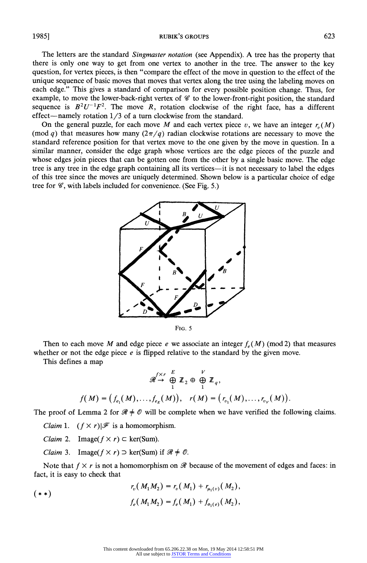1985] RUBIK'S GROUPS 623

The letters are the standard Singmaster notation (see Appendix). A tree has the property that there is only one way to get from one vertex to another in the tree. The answer to the key question, for vertex pieces, is then "compare the effect of the move in question to the effect of the unique sequence of basic moves that moves that vertex along the tree using the labeling moves on each edge." This gives a standard of comparison for every possible position change. Thus, for example, to move the lower-back-right vertex of  $\mathscr C$  to the lower-front-right position, the standard sequence is  $B^2U^{-1}F^2$ . The move R, rotation clockwise of the right face, has a different effect--namely rotation  $1/3$  of a turn clockwise from the standard.

On the general puzzle, for each move M and each vertex piece v, we have an integer  $r<sub>v</sub>(M)$ (mod q) that measures how many  $(2\pi/q)$  radian clockwise rotations are necessary to move the standard reference position for that vertex move to the one given by the move in question. In a similar manner, consider the edge graph whose vertices are the edge pieces of the puzzle and whose edges join pieces that can be gotten one from the other by a single basic move. The edge tree is any tree in the edge graph containing all its vertices-it is not necessary to label the edges of this tree since the moves are uniquely determined. Shown below is a particular choice of edge tree for  $\mathcal{C}$ , with labels included for convenience. (See Fig. 5.)



FIG. 5

Then to each move M and edge piece e we associate an integer  $f_e(M)$  (mod 2) that measures whether or not the edge piece  $e$  is flipped relative to the standard by the given move.

This defines a map

$$
\mathscr{R}^{\gamma \times r} \underset{1}{\overset{E}{\oplus}} \mathbb{Z}_2 \oplus \underset{1}{\overset{V}{\oplus}} \mathbb{Z}_q,
$$
\n
$$
f(M) = (f_{e_1}(M), \ldots, f_{e_E}(M)), \quad r(M) = (r_{v_1}(M), \ldots, r_{v_V}(M)).
$$

The proof of Lemma 2 for  $\mathcal{R} \neq \mathcal{O}$  will be complete when we have verified the following claims.

*Claim* 1.  $(f \times r)|\mathcal{F}$  is a homomorphism.

- *Claim* 2. Image( $f \times r$ )  $\subset$  ker(Sum).
- *Claim* 3. Image( $f \times r$ )  $\supset$  ker(Sum) if  $\mathcal{R} \neq \mathcal{O}$ .

Note that  $f \times r$  is not a homomorphism on  $\mathcal R$  because of the movement of edges and faces: in fact, it is easy to check that

$$
r_v(M_1M_2) = r_v(M_1) + r_{\mu_1(v)}(M_2),
$$
  
(\*\*)  

$$
f_e(M_1M_2) = f_e(M_1) + f_{\sigma_1(e)}(M_2),
$$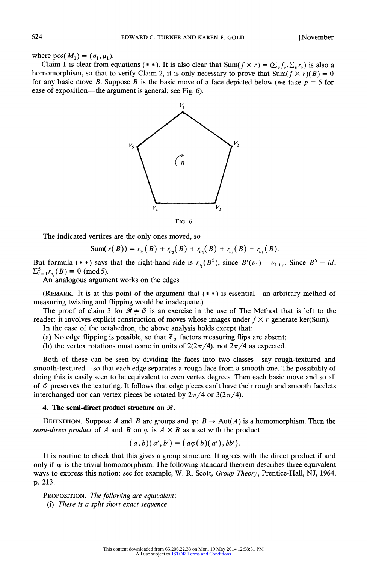where  $pos(M_1) = (\sigma_1, \mu_1)$ .

Claim 1 is clear from equations (\*\*). It is also clear that Sum( $f \times r$ ) =  $(\sum_{e} f_e, \sum_{v} r_v)$  is also a homomorphism, so that to verify Claim 2, it is only necessary to prove that  $\text{Sum}(f \times r)(B) = 0$ for any basic move B. Suppose B is the basic move of a face depicted below (we take  $p = 5$  for ease of exposition-the argument is general; see Fig. 6).



The indicated vertices are the only ones moved, so

Sum
$$
(r(B)) = r_{v_1}(B) + r_{v_2}(B) + r_{v_3}(B) + r_{v_4}(B) + r_{v_5}(B)
$$
.

But formula (\*\*) says that the right-hand side is  $r_{v_1}(B^5)$ , since  $B'(v_1) = v_{1+i}$ . Since  $B^5 = id$ ,  $\sum_{i=1}^{5} r_{v_i}(B) \equiv 0 \pmod{5}$ .

An analogous argument works on the edges.

(REMARK. It is at this point of the argument that  $(**)$  is essential—an arbitrary method of measuring twisting and flipping would be inadequate.)

The proof of claim 3 for  $\mathcal{R} \neq \mathcal{O}$  is an exercise in the use of The Method that is left to the reader: it involves explicit construction of moves whose images under  $f \times r$  generate ker(Sum).

In the case of the octahedron, the above analysis holds except that:

(a) No edge flipping is possible, so that  $\mathbb{Z}_2$  factors measuring flips are absent;

(b) the vertex rotations must come in units of  $2(2\pi/4)$ , not  $2\pi/4$  as expected.

Both of these can be seen by dividing the faces into two classes-say rough-textured and smooth-textured—so that each edge separates a rough face from a smooth one. The possibility of doing this is easily seen to be equivalent to even vertex degrees. Then each basic move and so all of  $\varnothing$  preserves the texturing. It follows that edge pieces can't have their rough and smooth facelets interchanged nor can vertex pieces be rotated by  $2\pi/4$  or  $3(2\pi/4)$ .

# 4. The semi-direct product structure on  $\mathscr{R}.$

DEFINITION. Suppose A and B are groups and  $\varphi$ :  $B \to \text{Aut}(A)$  is a homomorphism. Then the semi-direct product of A and B on  $\varphi$  is  $A \times B$  as a set with the product

$$
(a,b)(a',b')=(a\varphi(b)(a'),bb').
$$

It is routine to check that this gives a group structure. It agrees with the direct product if and only if  $\varphi$  is the trivial homomorphism. The following standard theorem describes three equivalent ways to express this notion: see for example, W. R. Scott, Group Theory, Prentice-Hall, NJ, 1964, p. 213.

PROPOSITION. The following are equivalent: (i) There is a split short exact sequence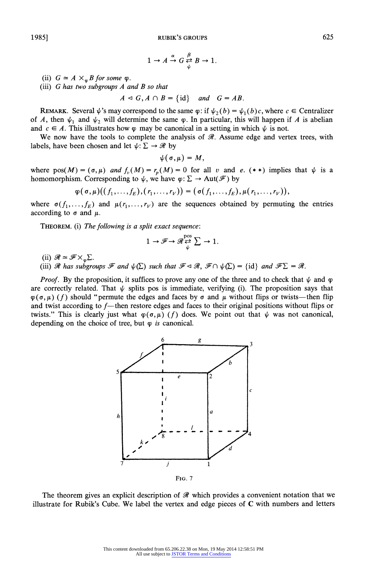1985] RUBIK'S GROUPS 625

$$
1 \to A \stackrel{\alpha}{\to} G \stackrel{\beta}{\underset{\psi}{\rightleftarrows}} B \to 1.
$$

(ii)  $G \simeq A \times_{\varphi} B$  for some  $\varphi$ .

(iii)  $G$  has two subgroups  $A$  and  $B$  so that

$$
A \triangleleft G, A \cap B = \{id\} \quad and \quad G = AB.
$$

REMARK. Several  $\psi$ 's may correspond to the same  $\varphi$ : if  $\psi_2(b) = \psi_1(b)c$ , where  $c \in$  Centralizer of A, then  $\psi_1$  and  $\psi_2$  will determine the same  $\varphi$ . In particular, this will happen if A is abelian and  $c \in A$ . This illustrates how  $\varphi$  may be canonical in a setting in which  $\psi$  is not.

We now have the tools to complete the analysis of  $\mathscr{R}$ . Assume edge and vertex trees, with labels, have been chosen and let  $\psi: \Sigma \to \mathcal{R}$  by

$$
\psi(\sigma,\mu)=M,
$$

where  $pos(M) = (\sigma, \mu)$  and  $f_v(M) = r_p(M) = 0$  for all v and e. (\*\*) implies that  $\psi$  is a homomorphism. Corresponding to  $\psi$ , we have  $\varphi: \Sigma \to \text{Aut}(\mathscr{F})$  by

$$
\varphi(\sigma,\mu)((f_1,\ldots,f_E),(r_1,\ldots,r_V))=(\sigma(f_1,\ldots,f_E),\mu(r_1,\ldots,r_V)),
$$

where  $\sigma(f_1,\ldots,f_E)$  and  $\mu(r_1,\ldots,r_V)$  are the sequences obtained by permuting the entries according to  $\sigma$  and  $\mu$ .

THEOREM. (i) The following is a split exact sequence:

$$
1 \to \mathscr{F} \to \mathscr{R}^{\text{pos}}_{\overrightarrow{\psi}} \sum \to 1.
$$

(ii)  $\mathscr{R} \simeq \mathscr{F} \times_{\omega} \Sigma$ . (iii)  $\mathscr R$  has subgroups  $\mathscr F$  and  $\psi(\Sigma)$  such that  $\mathscr F \lhd \mathscr R$ ,  $\mathscr F \cap \psi(\Sigma) = \{id\}$  and  $\mathscr F \Sigma = \mathscr R$ .

*Proof.* By the proposition, it suffices to prove any one of the three and to check that  $\psi$  and  $\varphi$ are correctly related. That  $\psi$  splits pos is immediate, verifying (i). The proposition says that  $\varphi(\sigma, \mu)$  (f) should "permute the edges and faces by  $\sigma$  and  $\mu$  without flips or twists— then flip and twist according to f—then restore edges and faces to their original positions without flips or twists." This is clearly just what  $\varphi(\sigma, \mu)$  (f) does. We point out that  $\psi$  was not canonical, depending on the choice of tree, but  $\varphi$  is canonical.



The theorem gives an explicit description of  $\mathcal R$  which provides a convenient notation that we illustrate for Rubik's Cube. We label the vertex and edge pieces of  $C$  with numbers and letters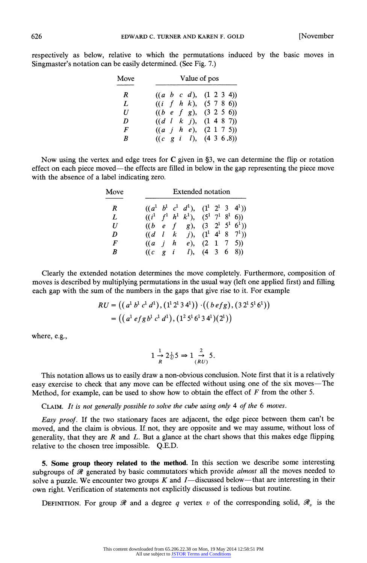respectively as below, relative to which the permutations induced by the basic moves in Singmaster's notation can be easily determined. (See Fig. 7.)

| Move | Value of pos                                                       |
|------|--------------------------------------------------------------------|
| R    | $((a \ b \ c \ d), (1 \ 2 \ 3 \ 4))$                               |
| L    | $((i \quad f \quad h \quad k), \quad (5 \quad 7 \quad 8 \quad 6))$ |
| U    | $(3 \t2 \t5 \t6))$<br>$((b \cdot e \cdot f \cdot g),$              |
| D    | $((d \; l \; k \; j), (1 \; 4 \; 8 \; 7))$                         |
| F    | $((a \, j \, h \, e), (2 \, 1 \, 7 \, 5))$                         |
| B    | $((c \ g \ i \ l), (4 \ 3 \ 6.8))$                                 |

Now using the vertex and edge trees for  $C$  given in §3, we can determine the flip or rotation effect on each piece moved—the effects are filled in below in the gap representing the piece move with the absence of a label indicating zero.

| Move | <b>Extended</b> notation |  |  |                                                                          |                        |  |  |  |
|------|--------------------------|--|--|--------------------------------------------------------------------------|------------------------|--|--|--|
| R    |                          |  |  | $((a^1 \ b^1 \ c^1 \ d^1), (1^1 \ 2^1 \ 3 \ 4^1))$                       |                        |  |  |  |
| L    |                          |  |  | $((i^1 \t f^1 \t h^1 \t k^1), (5^1 \t 7^1 \t 8^1 \t 6))$                 |                        |  |  |  |
| U    |                          |  |  | $((b \quad e \quad f \quad g), \quad (3 \quad 2^1 \quad 5^1 \quad 6^1))$ |                        |  |  |  |
| D    |                          |  |  | $((d \quad l \quad k \quad j), \quad (1^1 \quad 4^1 \quad 8 \quad 7^1))$ |                        |  |  |  |
| F    | $((a \quad j \quad h$    |  |  |                                                                          | e), $(2 \t1 \t7 \t5))$ |  |  |  |
| B    | $((c \ q \ i$            |  |  | $l$ , (4 3 6 8))                                                         |                        |  |  |  |

Clearly the extended notation determines the move completely. Furthermore, composition of moves is described by multiplying permutations in the usual way (left one applied first) and filling each gap with the sum of the numbers in the gaps that give rise to it. For example

$$
RU = ((a1 b1 c1 d1), (11 21 3 41)) \cdot ((b e f g), (3 21 51 61))
$$
  
= ((a<sup>1</sup> e f g b<sup>1</sup> c<sup>1</sup> d<sup>1</sup>), (1<sup>2</sup> 5<sup>1</sup> 6<sup>1</sup> 3 4<sup>1</sup>)(2<sup>1</sup>))

where, e.g.,

$$
1 \xrightarrow{1} 2 \frac{1}{U} 5 \Rightarrow 1 \xrightarrow{2} 5.
$$
  

$$
\overset{(RU)}{N}
$$

This notation allows us to easily draw a non-obvious conclusion. Note first that it is a relatively easy exercise to check that any move can be effected without using one of the six moves-The Method, for example, can be used to show how to obtain the effect of  $F$  from the other 5.

CLAIM. It is not generally possible to solve the cube using only 4 of the 6 moves.

Easy proof. If the two stationary faces are adjacent, the edge piece between them can't be moved, and the claim is obvious. If not, they are opposite and we may assume, without loss of generality, that they are  $R$  and  $L$ . But a glance at the chart shows that this makes edge flipping relative to the chosen tree impossible. Q.E.D.

5. Some group theory related to the method. In this section we describe some interesting subgroups of  $\mathcal R$  generated by basic commutators which provide *almost* all the moves needed to solve a puzzle. We encounter two groups K and  $I$ —discussed below—that are interesting in their own right. Verification of statements not explicitly discussed is tedious but routine.

DEFINITION. For group  $\mathcal R$  and a degree q vertex v of the corresponding solid,  $\mathcal R_{\nu}$  is the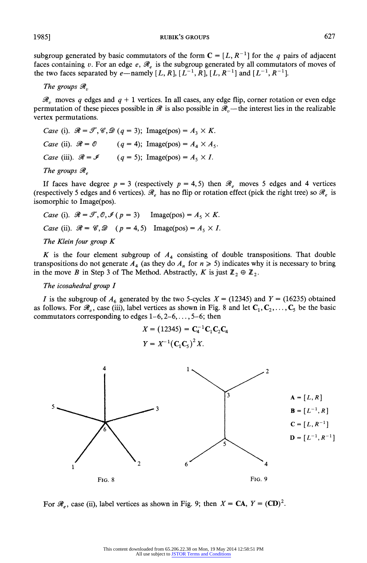subgroup generated by basic commutators of the form  $C = [L, R^{-1}]$  for the q pairs of adjacent faces containing v. For an edge e,  $\mathcal{R}_e$  is the subgroup generated by all commutators of moves of the two faces separated by *e*—namely  $[L, R]$ ,  $[L^{-1}, R]$ ,  $[L, R^{-1}]$  and  $[L^{-1}, R^{-1}]$ .

The groups  $\mathcal{R}_{n}$ 

 $\mathcal{R}_v$  moves q edges and  $q + 1$  vertices. In all cases, any edge flip, corner rotation or even edge permutation of these pieces possible in  $\mathcal{R}$  is also possible in  $\mathcal{R}_{v}$ —the interest lies in the realizable vertex permutations.

Case (i).  $\mathcal{R} = \mathcal{T}, \mathcal{C}, \mathcal{D}$  (q = 3); Image(pos) =  $A_3 \times K$ . Case (ii).  $\mathcal{R} = \mathcal{O}$  (q = 4); Image(pos) =  $A_4 \times A_5$ . Case (iii).  $\mathcal{R} = \mathcal{I}$  (q = 5); Image(pos) =  $A_5 \times I$ .

The groups  $\mathcal{R}_e$ 

If faces have degree  $p = 3$  (respectively  $p = 4, 5$ ) then  $\mathcal{R}_e$  moves 5 edges and 4 vertices (respectively 5 edges and 6 vertices).  $\mathcal{R}_e$  has no flip or rotation effect (pick the right tree) so  $\mathcal{R}_e$  is isomorphic to Image(pos).

Case (i). 
$$
\mathcal{R} = \mathcal{T}, \mathcal{O}, \mathcal{I} (p = 3)
$$
 Image(pos) =  $A_5 \times K$ .  
Case (ii).  $\mathcal{R} = \mathcal{C}, \mathcal{D} (p = 4, 5)$  Image(pos) =  $A_5 \times I$ .  
The Klein four group K

K is the four element subgroup of  $A<sub>4</sub>$  consisting of double transpositions. That double transpositions do not generate  $A_4$  (as they do  $A_n$  for  $n \ge 5$ ) indicates why it is necessary to bring in the move B in Step 3 of The Method. Abstractly, K is just  $\mathbb{Z}_2 \oplus \mathbb{Z}_2$ .

The icosahedral group I

*I* is the subgroup of  $A_6$  generated by the two 5-cycles  $X = (12345)$  and  $Y = (16235)$  obtained as follows. For  $\mathcal{R}_v$ , case (iii), label vertices as shown in Fig. 8 and let  $C_1, C_2, \ldots, C_5$  be the basic commutators corresponding to edges  $1-6$ ,  $2-6$ , ...,  $5-6$ ; then

$$
X = (12345) = C_4^{-1}C_1C_2C_4
$$
  
 
$$
Y = X^{-1}(C_1C_5)^2 X.
$$



For  $\mathcal{R}_e$ , case (ii), label vertices as shown in Fig. 9; then  $X = CA$ ,  $Y = (CD)^2$ .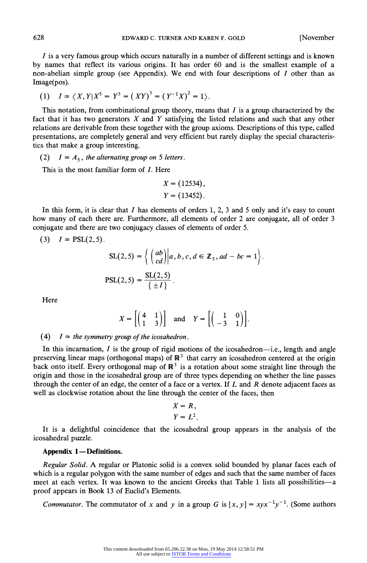$I$  is a very famous group which occurs naturally in a number of different settings and is known by names that reflect its various origins. It has order 60 and is the smallest example of a non-abelian simple group (see Appendix). We end with four descriptions of  $I$  other than as Image(pos).

(1) 
$$
I \approx \langle X, Y | X^5 = Y^5 = (XY)^3 = (Y^{-1}X)^2 = 1 \rangle
$$
.

This notation, from combinational group theory, means that  $I$  is a group characterized by the fact that it has two generators X and Y satisfying the listed relations and such that any other relations are derivable from these together with the group axioms. Descriptions of this type, called presentations, are completely general and very efficient but rarely display the special characteristics that make a group interesting.

(2)  $I \approx A_5$ , the alternating group on 5 letters.

This is the most familiar form of I. Here

$$
X = (12534),
$$
  
 
$$
Y = (13452).
$$

In this form, it is clear that I has elements of orders 1, 2, 3 and 5 only and it's easy to count how many of each there are. Furthermore, all elements of order 2 are conjugate, all of order 3 conjugate and there are two conjugacy classes of elements of order 5.

$$
(3) \quad I \simeq \mathrm{PSL}(2,5).
$$

$$
SL(2,5) = \left\{ \left. \begin{pmatrix} ab \\ cd \end{pmatrix} \middle| a, b, c, d \in \mathbb{Z}_5, ad - bc = 1 \right\}.
$$

$$
PSL(2,5) = \frac{SL(2,5)}{\{\pm I\}}.
$$

Here

 $X = \begin{bmatrix} 4 & 1 \\ 1 & 3 \end{bmatrix}$  and  $Y = \begin{bmatrix} 1 & 0 \\ -3 & 1 \end{bmatrix}$ .

(4)  $I \approx$  the symmetry group of the icosahedron.

In this incarnation,  $I$  is the group of rigid motions of the icosahedron-i.e., length and angle preserving linear maps (orthogonal maps) of  $\mathbb{R}^3$  that carry an icosahedron centered at the origin back onto itself. Every orthogonal map of  $\mathbb{R}^3$  is a rotation about some straight line through the origin and those in the icosahedral group are of three types depending on whether the line passes through the center of an edge, the center of a face or a vertex. If  $L$  and  $R$  denote adjacent faces as well as clockwise rotation about the line through the center of the faces, then

$$
X = R,
$$
  

$$
Y = L^2.
$$

It is a delightful coincidence that the icosahedral group appears in the analysis of the icosahedral puzzle.

### Appendix 1-Definitions.

Regular Solid. A regular or Platonic solid is a convex solid bounded by planar faces each of which is a regular polygon with the same number of edges and such that the same number of faces meet at each vertex. It was known to the ancient Greeks that Table 1 lists all possibilities-a proof appears in Book 13 of Euclid's Elements.

*Commutator.* The commutator of x and y in a group G is  $[x, y] = xyx^{-1}y^{-1}$ . (Some authors